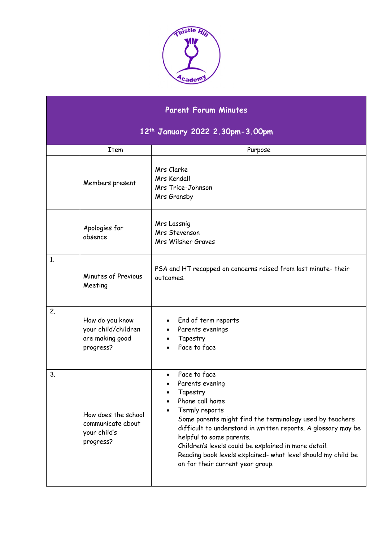

## **Parent Forum Minutes**

## **12th January 2022 2.30pm-3.00pm**

|    | <b>Item</b>                                                            | Purpose                                                                                                                                                                                                                                                                                                                                                                                                            |
|----|------------------------------------------------------------------------|--------------------------------------------------------------------------------------------------------------------------------------------------------------------------------------------------------------------------------------------------------------------------------------------------------------------------------------------------------------------------------------------------------------------|
|    | Members present                                                        | Mrs Clarke<br>Mrs Kendall<br>Mrs Trice-Johnson<br>Mrs Gransby                                                                                                                                                                                                                                                                                                                                                      |
|    | Apologies for<br>absence                                               | Mrs Lassnig<br>Mrs Stevenson<br>Mrs Wilsher Graves                                                                                                                                                                                                                                                                                                                                                                 |
| 1. | Minutes of Previous<br>Meeting                                         | PSA and HT recapped on concerns raised from last minute- their<br>outcomes.                                                                                                                                                                                                                                                                                                                                        |
| 2. | How do you know<br>your child/children<br>are making good<br>progress? | End of term reports<br>Parents evenings<br>Tapestry<br>Face to face                                                                                                                                                                                                                                                                                                                                                |
| 3. | How does the school<br>communicate about<br>your child's<br>progress?  | Face to face<br>$\bullet$<br>Parents evening<br>Tapestry<br>Phone call home<br>Termly reports<br>Some parents might find the terminology used by teachers<br>difficult to understand in written reports. A glossary may be<br>helpful to some parents.<br>Children's levels could be explained in more detail.<br>Reading book levels explained- what level should my child be<br>on for their current year group. |